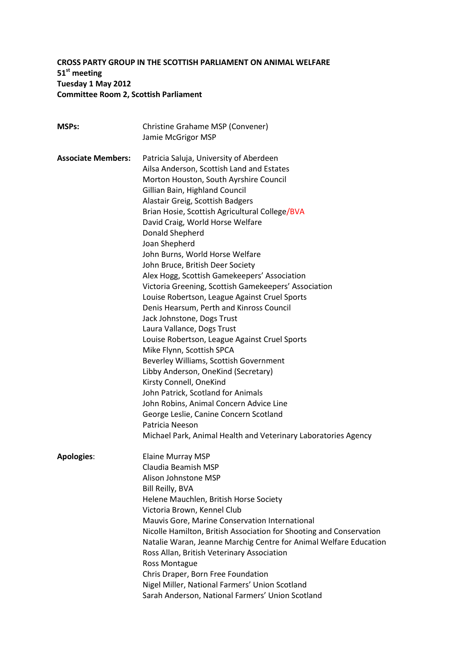# **CROSS PARTY GROUP IN THE SCOTTISH PARLIAMENT ON ANIMAL WELFARE 51st meeting Tuesday 1 May 2012 Committee Room 2, Scottish Parliament**

| <b>MSPs:</b>              | Christine Grahame MSP (Convener)                                                                     |
|---------------------------|------------------------------------------------------------------------------------------------------|
|                           | Jamie McGrigor MSP                                                                                   |
|                           |                                                                                                      |
| <b>Associate Members:</b> | Patricia Saluja, University of Aberdeen                                                              |
|                           | Ailsa Anderson, Scottish Land and Estates                                                            |
|                           | Morton Houston, South Ayrshire Council                                                               |
|                           | Gillian Bain, Highland Council                                                                       |
|                           | Alastair Greig, Scottish Badgers                                                                     |
|                           | Brian Hosie, Scottish Agricultural College/BVA                                                       |
|                           | David Craig, World Horse Welfare                                                                     |
|                           | Donald Shepherd                                                                                      |
|                           | Joan Shepherd                                                                                        |
|                           | John Burns, World Horse Welfare                                                                      |
|                           | John Bruce, British Deer Society                                                                     |
|                           | Alex Hogg, Scottish Gamekeepers' Association<br>Victoria Greening, Scottish Gamekeepers' Association |
|                           | Louise Robertson, League Against Cruel Sports                                                        |
|                           | Denis Hearsum, Perth and Kinross Council                                                             |
|                           | Jack Johnstone, Dogs Trust                                                                           |
|                           | Laura Vallance, Dogs Trust                                                                           |
|                           | Louise Robertson, League Against Cruel Sports                                                        |
|                           | Mike Flynn, Scottish SPCA                                                                            |
|                           | Beverley Williams, Scottish Government                                                               |
|                           | Libby Anderson, OneKind (Secretary)                                                                  |
|                           | Kirsty Connell, OneKind                                                                              |
|                           | John Patrick, Scotland for Animals                                                                   |
|                           | John Robins, Animal Concern Advice Line                                                              |
|                           | George Leslie, Canine Concern Scotland                                                               |
|                           | Patricia Neeson                                                                                      |
|                           | Michael Park, Animal Health and Veterinary Laboratories Agency                                       |
| <b>Apologies:</b>         | <b>Elaine Murray MSP</b>                                                                             |
|                           | Claudia Beamish MSP                                                                                  |
|                           | Alison Johnstone MSP                                                                                 |
|                           | Bill Reilly, BVA                                                                                     |
|                           | Helene Mauchlen, British Horse Society                                                               |
|                           | Victoria Brown, Kennel Club                                                                          |
|                           | Mauvis Gore, Marine Conservation International                                                       |
|                           | Nicolle Hamilton, British Association for Shooting and Conservation                                  |
|                           | Natalie Waran, Jeanne Marchig Centre for Animal Welfare Education                                    |
|                           | Ross Allan, British Veterinary Association                                                           |
|                           | Ross Montague                                                                                        |
|                           | Chris Draper, Born Free Foundation                                                                   |
|                           | Nigel Miller, National Farmers' Union Scotland                                                       |
|                           | Sarah Anderson, National Farmers' Union Scotland                                                     |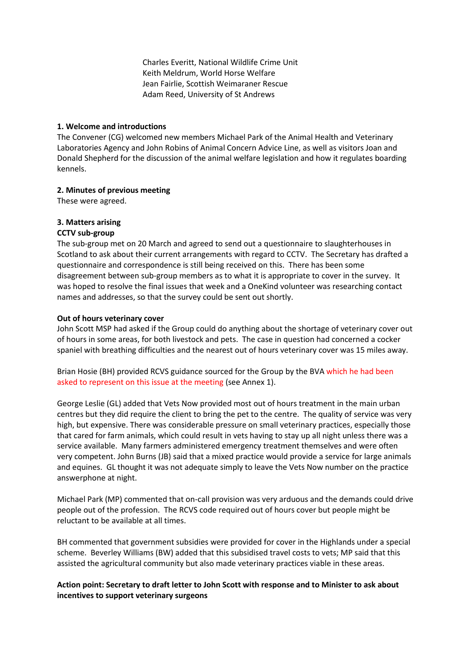Charles Everitt, National Wildlife Crime Unit Keith Meldrum, World Horse Welfare Jean Fairlie, Scottish Weimaraner Rescue Adam Reed, University of St Andrews

### **1. Welcome and introductions**

The Convener (CG) welcomed new members Michael Park of the Animal Health and Veterinary Laboratories Agency and John Robins of Animal Concern Advice Line, as well as visitors Joan and Donald Shepherd for the discussion of the animal welfare legislation and how it regulates boarding kennels.

## **2. Minutes of previous meeting**

These were agreed.

# **3. Matters arising**

## **CCTV sub-group**

The sub-group met on 20 March and agreed to send out a questionnaire to slaughterhouses in Scotland to ask about their current arrangements with regard to CCTV. The Secretary has drafted a questionnaire and correspondence is still being received on this. There has been some disagreement between sub-group members as to what it is appropriate to cover in the survey. It was hoped to resolve the final issues that week and a OneKind volunteer was researching contact names and addresses, so that the survey could be sent out shortly.

### **Out of hours veterinary cover**

John Scott MSP had asked if the Group could do anything about the shortage of veterinary cover out of hours in some areas, for both livestock and pets. The case in question had concerned a cocker spaniel with breathing difficulties and the nearest out of hours veterinary cover was 15 miles away.

Brian Hosie (BH) provided RCVS guidance sourced for the Group by the BVA which he had been asked to represent on this issue at the meeting (see Annex 1).

George Leslie (GL) added that Vets Now provided most out of hours treatment in the main urban centres but they did require the client to bring the pet to the centre. The quality of service was very high, but expensive. There was considerable pressure on small veterinary practices, especially those that cared for farm animals, which could result in vets having to stay up all night unless there was a service available. Many farmers administered emergency treatment themselves and were often very competent. John Burns (JB) said that a mixed practice would provide a service for large animals and equines. GL thought it was not adequate simply to leave the Vets Now number on the practice answerphone at night.

Michael Park (MP) commented that on-call provision was very arduous and the demands could drive people out of the profession. The RCVS code required out of hours cover but people might be reluctant to be available at all times.

BH commented that government subsidies were provided for cover in the Highlands under a special scheme. Beverley Williams (BW) added that this subsidised travel costs to vets; MP said that this assisted the agricultural community but also made veterinary practices viable in these areas.

### **Action point: Secretary to draft letter to John Scott with response and to Minister to ask about incentives to support veterinary surgeons**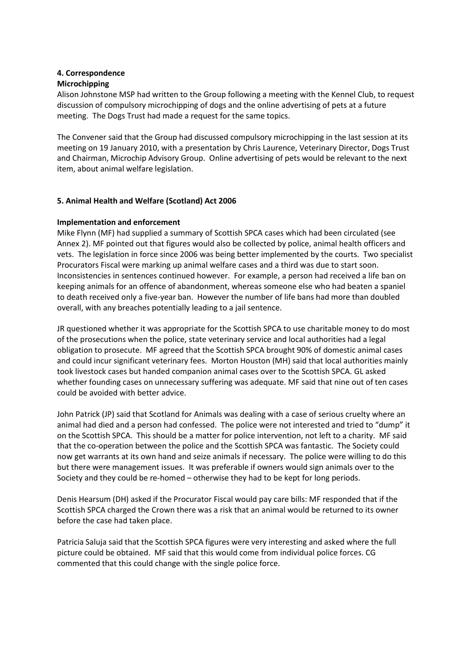#### **4. Correspondence Microchipping**

Alison Johnstone MSP had written to the Group following a meeting with the Kennel Club, to request discussion of compulsory microchipping of dogs and the online advertising of pets at a future meeting. The Dogs Trust had made a request for the same topics.

The Convener said that the Group had discussed compulsory microchipping in the last session at its meeting on 19 January 2010, with a presentation by Chris Laurence, Veterinary Director, Dogs Trust and Chairman, Microchip Advisory Group. Online advertising of pets would be relevant to the next item, about animal welfare legislation.

## **5. Animal Health and Welfare (Scotland) Act 2006**

## **Implementation and enforcement**

Mike Flynn (MF) had supplied a summary of Scottish SPCA cases which had been circulated (see Annex 2). MF pointed out that figures would also be collected by police, animal health officers and vets. The legislation in force since 2006 was being better implemented by the courts. Two specialist Procurators Fiscal were marking up animal welfare cases and a third was due to start soon. Inconsistencies in sentences continued however. For example, a person had received a life ban on keeping animals for an offence of abandonment, whereas someone else who had beaten a spaniel to death received only a five-year ban. However the number of life bans had more than doubled overall, with any breaches potentially leading to a jail sentence.

JR questioned whether it was appropriate for the Scottish SPCA to use charitable money to do most of the prosecutions when the police, state veterinary service and local authorities had a legal obligation to prosecute. MF agreed that the Scottish SPCA brought 90% of domestic animal cases and could incur significant veterinary fees. Morton Houston (MH) said that local authorities mainly took livestock cases but handed companion animal cases over to the Scottish SPCA. GL asked whether founding cases on unnecessary suffering was adequate. MF said that nine out of ten cases could be avoided with better advice.

John Patrick (JP) said that Scotland for Animals was dealing with a case of serious cruelty where an animal had died and a person had confessed. The police were not interested and tried to "dump" it on the Scottish SPCA. This should be a matter for police intervention, not left to a charity. MF said that the co-operation between the police and the Scottish SPCA was fantastic. The Society could now get warrants at its own hand and seize animals if necessary. The police were willing to do this but there were management issues. It was preferable if owners would sign animals over to the Society and they could be re-homed – otherwise they had to be kept for long periods.

Denis Hearsum (DH) asked if the Procurator Fiscal would pay care bills: MF responded that if the Scottish SPCA charged the Crown there was a risk that an animal would be returned to its owner before the case had taken place.

Patricia Saluja said that the Scottish SPCA figures were very interesting and asked where the full picture could be obtained. MF said that this would come from individual police forces. CG commented that this could change with the single police force.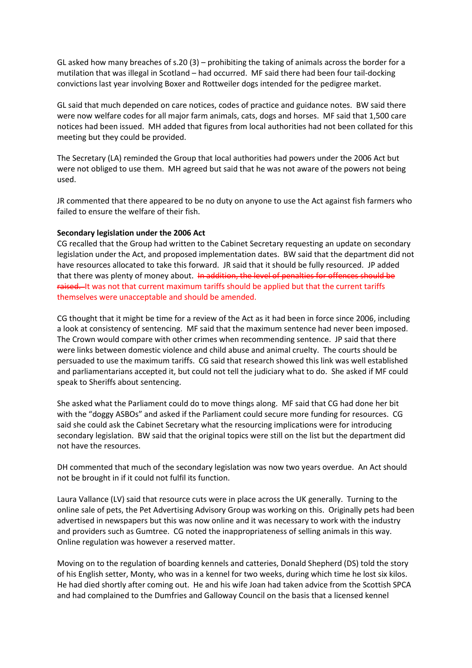GL asked how many breaches of s.20 (3) – prohibiting the taking of animals across the border for a mutilation that was illegal in Scotland – had occurred. MF said there had been four tail-docking convictions last year involving Boxer and Rottweiler dogs intended for the pedigree market.

GL said that much depended on care notices, codes of practice and guidance notes. BW said there were now welfare codes for all major farm animals, cats, dogs and horses. MF said that 1,500 care notices had been issued. MH added that figures from local authorities had not been collated for this meeting but they could be provided.

The Secretary (LA) reminded the Group that local authorities had powers under the 2006 Act but were not obliged to use them. MH agreed but said that he was not aware of the powers not being used.

JR commented that there appeared to be no duty on anyone to use the Act against fish farmers who failed to ensure the welfare of their fish.

#### **Secondary legislation under the 2006 Act**

CG recalled that the Group had written to the Cabinet Secretary requesting an update on secondary legislation under the Act, and proposed implementation dates. BW said that the department did not have resources allocated to take this forward. JR said that it should be fully resourced. JP added that there was plenty of money about. In addition, the level of penalties for offences should be raised. It was not that current maximum tariffs should be applied but that the current tariffs themselves were unacceptable and should be amended.

CG thought that it might be time for a review of the Act as it had been in force since 2006, including a look at consistency of sentencing. MF said that the maximum sentence had never been imposed. The Crown would compare with other crimes when recommending sentence. JP said that there were links between domestic violence and child abuse and animal cruelty. The courts should be persuaded to use the maximum tariffs. CG said that research showed this link was well established and parliamentarians accepted it, but could not tell the judiciary what to do. She asked if MF could speak to Sheriffs about sentencing.

She asked what the Parliament could do to move things along. MF said that CG had done her bit with the "doggy ASBOs" and asked if the Parliament could secure more funding for resources. CG said she could ask the Cabinet Secretary what the resourcing implications were for introducing secondary legislation. BW said that the original topics were still on the list but the department did not have the resources.

DH commented that much of the secondary legislation was now two years overdue. An Act should not be brought in if it could not fulfil its function.

Laura Vallance (LV) said that resource cuts were in place across the UK generally. Turning to the online sale of pets, the Pet Advertising Advisory Group was working on this. Originally pets had been advertised in newspapers but this was now online and it was necessary to work with the industry and providers such as Gumtree. CG noted the inappropriateness of selling animals in this way. Online regulation was however a reserved matter.

Moving on to the regulation of boarding kennels and catteries, Donald Shepherd (DS) told the story of his English setter, Monty, who was in a kennel for two weeks, during which time he lost six kilos. He had died shortly after coming out. He and his wife Joan had taken advice from the Scottish SPCA and had complained to the Dumfries and Galloway Council on the basis that a licensed kennel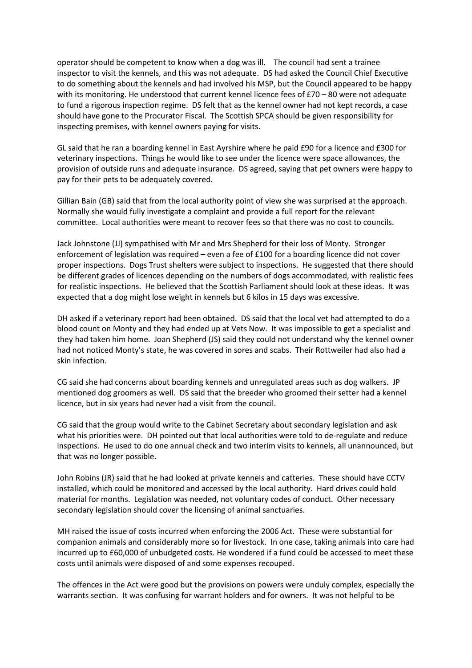operator should be competent to know when a dog was ill. The council had sent a trainee inspector to visit the kennels, and this was not adequate. DS had asked the Council Chief Executive to do something about the kennels and had involved his MSP, but the Council appeared to be happy with its monitoring. He understood that current kennel licence fees of £70 – 80 were not adequate to fund a rigorous inspection regime. DS felt that as the kennel owner had not kept records, a case should have gone to the Procurator Fiscal. The Scottish SPCA should be given responsibility for inspecting premises, with kennel owners paying for visits.

GL said that he ran a boarding kennel in East Ayrshire where he paid £90 for a licence and £300 for veterinary inspections. Things he would like to see under the licence were space allowances, the provision of outside runs and adequate insurance. DS agreed, saying that pet owners were happy to pay for their pets to be adequately covered.

Gillian Bain (GB) said that from the local authority point of view she was surprised at the approach. Normally she would fully investigate a complaint and provide a full report for the relevant committee. Local authorities were meant to recover fees so that there was no cost to councils.

Jack Johnstone (JJ) sympathised with Mr and Mrs Shepherd for their loss of Monty. Stronger enforcement of legislation was required – even a fee of £100 for a boarding licence did not cover proper inspections. Dogs Trust shelters were subject to inspections. He suggested that there should be different grades of licences depending on the numbers of dogs accommodated, with realistic fees for realistic inspections. He believed that the Scottish Parliament should look at these ideas. It was expected that a dog might lose weight in kennels but 6 kilos in 15 days was excessive.

DH asked if a veterinary report had been obtained. DS said that the local vet had attempted to do a blood count on Monty and they had ended up at Vets Now. It was impossible to get a specialist and they had taken him home. Joan Shepherd (JS) said they could not understand why the kennel owner had not noticed Monty's state, he was covered in sores and scabs. Their Rottweiler had also had a skin infection.

CG said she had concerns about boarding kennels and unregulated areas such as dog walkers. JP mentioned dog groomers as well. DS said that the breeder who groomed their setter had a kennel licence, but in six years had never had a visit from the council.

CG said that the group would write to the Cabinet Secretary about secondary legislation and ask what his priorities were. DH pointed out that local authorities were told to de-regulate and reduce inspections. He used to do one annual check and two interim visits to kennels, all unannounced, but that was no longer possible.

John Robins (JR) said that he had looked at private kennels and catteries. These should have CCTV installed, which could be monitored and accessed by the local authority. Hard drives could hold material for months. Legislation was needed, not voluntary codes of conduct. Other necessary secondary legislation should cover the licensing of animal sanctuaries.

MH raised the issue of costs incurred when enforcing the 2006 Act. These were substantial for companion animals and considerably more so for livestock. In one case, taking animals into care had incurred up to £60,000 of unbudgeted costs. He wondered if a fund could be accessed to meet these costs until animals were disposed of and some expenses recouped.

The offences in the Act were good but the provisions on powers were unduly complex, especially the warrants section. It was confusing for warrant holders and for owners. It was not helpful to be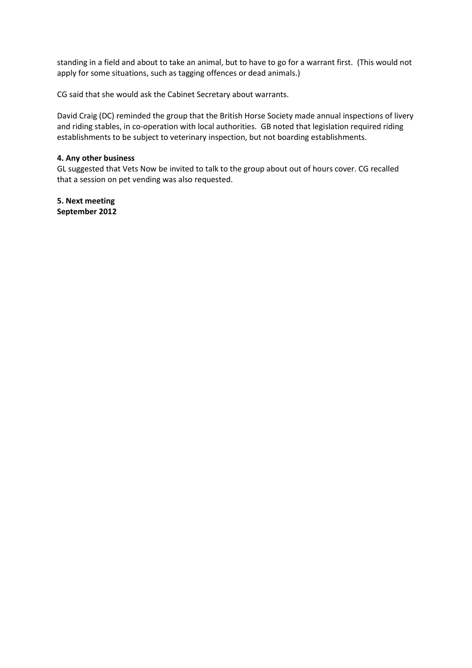standing in a field and about to take an animal, but to have to go for a warrant first. (This would not apply for some situations, such as tagging offences or dead animals.)

CG said that she would ask the Cabinet Secretary about warrants.

David Craig (DC) reminded the group that the British Horse Society made annual inspections of livery and riding stables, in co-operation with local authorities. GB noted that legislation required riding establishments to be subject to veterinary inspection, but not boarding establishments.

#### **4. Any other business**

GL suggested that Vets Now be invited to talk to the group about out of hours cover. CG recalled that a session on pet vending was also requested.

**5. Next meeting September 2012**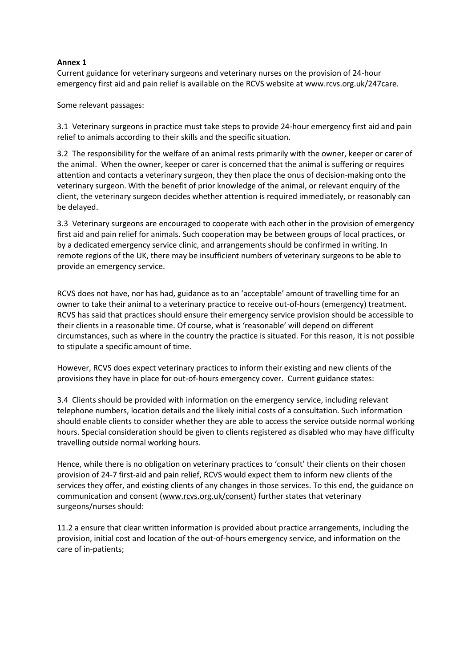### **Annex 1**

Current guidance for veterinary surgeons and veterinary nurses on the provision of 24-hour emergency first aid and pain relief is available on the RCVS website a[t www.rcvs.org.uk/247care.](http://www.rcvs.org.uk/247care)

Some relevant passages:

3.1 Veterinary surgeons in practice must take steps to provide 24-hour emergency first aid and pain relief to animals according to their skills and the specific situation.

3.2 The responsibility for the welfare of an animal rests primarily with the owner, keeper or carer of the animal. When the owner, keeper or carer is concerned that the animal is suffering or requires attention and contacts a veterinary surgeon, they then place the onus of decision-making onto the veterinary surgeon. With the benefit of prior knowledge of the animal, or relevant enquiry of the client, the veterinary surgeon decides whether attention is required immediately, or reasonably can be delayed.

3.3 Veterinary surgeons are encouraged to cooperate with each other in the provision of emergency first aid and pain relief for animals. Such cooperation may be between groups of local practices, or by a dedicated emergency service clinic, and arrangements should be confirmed in writing. In remote regions of the UK, there may be insufficient numbers of veterinary surgeons to be able to provide an emergency service.

RCVS does not have, nor has had, guidance as to an 'acceptable' amount of travelling time for an owner to take their animal to a veterinary practice to receive out-of-hours (emergency) treatment. RCVS has said that practices should ensure their emergency service provision should be accessible to their clients in a reasonable time. Of course, what is 'reasonable' will depend on different circumstances, such as where in the country the practice is situated. For this reason, it is not possible to stipulate a specific amount of time.

However, RCVS does expect veterinary practices to inform their existing and new clients of the provisions they have in place for out-of-hours emergency cover. Current guidance states:

3.4 Clients should be provided with information on the emergency service, including relevant telephone numbers, location details and the likely initial costs of a consultation. Such information should enable clients to consider whether they are able to access the service outside normal working hours. Special consideration should be given to clients registered as disabled who may have difficulty travelling outside normal working hours.

Hence, while there is no obligation on veterinary practices to 'consult' their clients on their chosen provision of 24-7 first-aid and pain relief, RCVS would expect them to inform new clients of the services they offer, and existing clients of any changes in those services. To this end, the guidance on communication and consent [\(www.rcvs.org.uk/consent\)](http://www.rcvs.org.uk/consent) further states that veterinary surgeons/nurses should:

11.2 a ensure that clear written information is provided about practice arrangements, including the provision, initial cost and location of the out-of-hours emergency service, and information on the care of in-patients;